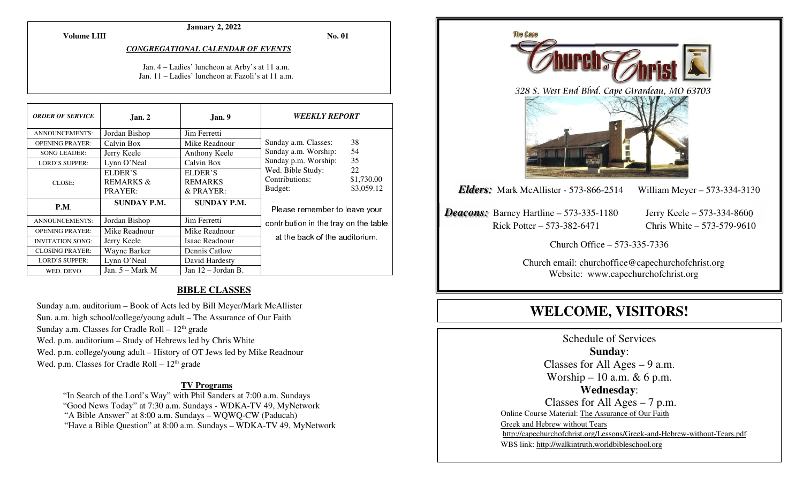**Volume LIII**

#### **January 2, 2022**

**No. 01** 

#### *CONGREGATIONAL CALENDAR OF EVENTS*

Jan. 4 – Ladies' luncheon at Arby's at 11 a.m. Jan. 11 – Ladies' luncheon at Fazoli's at 11 a.m.

| <b>ORDER OF SERVICE</b> | Jan. 2               | Jan. 9               | <i><b>WEEKLY REPORT</b></i>           |            |
|-------------------------|----------------------|----------------------|---------------------------------------|------------|
| <b>ANNOUNCEMENTS:</b>   | Jordan Bishop        | Jim Ferretti         |                                       |            |
| <b>OPENING PRAYER:</b>  | Calvin Box           | Mike Readnour        | Sunday a.m. Classes:                  | 38         |
| <b>SONG LEADER:</b>     | Jerry Keele          | Anthony Keele        | Sunday a.m. Worship:                  | 54         |
| <b>LORD'S SUPPER:</b>   | Lynn O'Neal          | Calvin Box           | Sunday p.m. Worship:                  | 35         |
|                         | ELDER'S              | ELDER'S              | Wed. Bible Study:                     | 22         |
| CLOSE:                  | <b>REMARKS &amp;</b> | <b>REMARKS</b>       | Contributions:                        | \$1,730.00 |
|                         | PRAYER:              | & PRAYER:            | Budget:                               | \$3,059.12 |
| P.M.                    | <b>SUNDAY P.M.</b>   | <b>SUNDAY P.M.</b>   | Please remember to leave your         |            |
| <b>ANNOUNCEMENTS:</b>   | Jordan Bishop        | Jim Ferretti         | contribution in the tray on the table |            |
| <b>OPENING PRAYER:</b>  | Mike Readnour        | Mike Readnour        |                                       |            |
| <b>INVITATION SONG:</b> | Jerry Keele          | Isaac Readnour       | at the back of the auditorium.        |            |
| <b>CLOSING PRAYER:</b>  | Wayne Barker         | Dennis Catlow        |                                       |            |
| <b>LORD'S SUPPER:</b>   | Lynn O'Neal          | David Hardesty       |                                       |            |
| WED. DEVO               | Jan. $5 -$ Mark M    | Jan $12$ – Jordan B. |                                       |            |

#### **BIBLE CLASSES**

Sunday a.m. auditorium – Book of Acts led by Bill Meyer/Mark McAllister Sun. a.m. high school/college/young adult – The Assurance of Our Faith Sunday a.m. Classes for Cradle Roll  $-12<sup>th</sup>$  grade Wed. p.m. auditorium – Study of Hebrews led by Chris White Wed. p.m. college/young adult – History of OT Jews led by Mike Readnour Wed. p.m. Classes for Cradle Roll  $-12<sup>th</sup>$  grade

#### **TV Programs**

 "In Search of the Lord's Way" with Phil Sanders at 7:00 a.m. Sundays "Good News Today" at 7:30 a.m. Sundays - WDKA-TV 49, MyNetwork "A Bible Answer" at 8:00 a.m. Sundays – WQWQ-CW (Paducah) "Have a Bible Question" at 8:00 a.m. Sundays – WDKA-TV 49, MyNetwork



# **WELCOME, VISITORS!**

Schedule of Services **Sunday**: Classes for All Ages  $-9$  a.m. Worship – 10 a.m.  $& 6$  p.m. **Wednesday**: Classes for All Ages – 7 p.m. Online Course Material: The Assurance of Our Faith Greek and Hebrew without Tears http://capechurchofchrist.org/Lessons/Greek-and-Hebrew-without-Tears.pdfWBS link: http://walkintruth.worldbibleschool.org